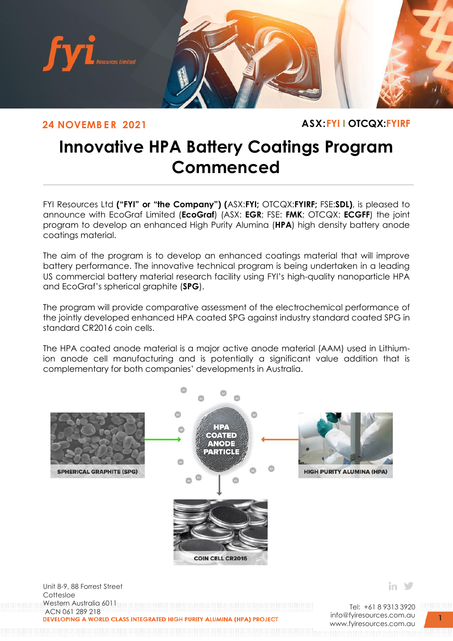

**24 NOVEMB E R 2021 ASX:FYI I OTCQX:FYIRF**

# **Innovative HPA Battery Coatings Program Commenced**

**HPA EXTENDED PILOT PLANT TRIAL COMMENCED** FYI Resources Ltd **("FYI" or "the Company") (**ASX:**FYI;** OTCQX:**FYIRF;** FSE:**SDL)**, is pleased to announce with EcoGraf Limited (**EcoGraf**) (ASX: **EGR**; FSE: **FMK**; OTCQX: **ECGFF**) the joint program to develop an enhanced High Purity Alumina (**HPA**) high density battery anode coatings material.

The aim of the program is to develop an enhanced coatings material that will improve battery performance. The innovative technical program is being undertaken in a leading US commercial battery material research facility using FYI's high-quality nanoparticle HPA and EcoGraf's spherical graphite (**SPG**).

The program will provide comparative assessment of the electrochemical performance of the jointly developed enhanced HPA coated SPG against industry standard coated SPG in standard CR2016 coin cells.

The HPA coated anode material is a major active anode material (AAM) used in Lithiumion anode cell manufacturing and is potentially a significant value addition that is complementary for both companies' developments in Australia.



Cottesloe Western Australia 6011 ACN 061 289 218<br>DEVELOPING A WORLD CLASS INTEGRATED HIGH PURITY ALUMINA (HPA) PROJECT

Tel: +61 8 9313 3920 [info@fyiresources.com.au](mailto:info@fyiresources.com.au) [www.fyiresources.com.au](mailto:https://www.fyiresources.com.au/)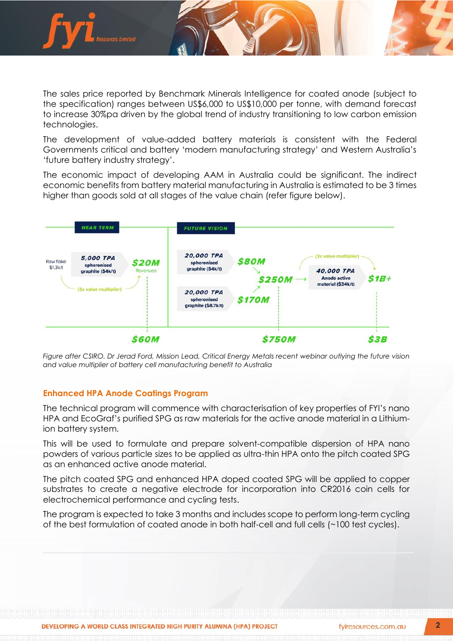

The sales price reported by Benchmark Minerals Intelligence for coated anode (subject to the specification) ranges between US\$6,000 to US\$10,000 per tonne, with demand forecast to increase 30%pa driven by the global trend of industry transitioning to low carbon emission technologies.

The development of value-added battery materials is consistent with the Federal Governments critical and battery 'modern manufacturing strategy' and Western Australia's 'future battery industry strategy'.

The economic impact of developing AAM in Australia could be significant. The indirect economic benefits from battery material manufacturing in Australia is estimated to be 3 times higher than goods sold at all stages of the value chain (refer figure below).



*Figure after CSIRO. Dr Jerad Ford, Mission Lead, Critical Energy Metals recent webinar outlying the future vision and value multiplier of battery cell manufacturing benefit to Australia*

### **Enhanced HPA Anode Coatings Program**

The technical program will commence with characterisation of key properties of FYI's nano HPA and EcoGraf's purified SPG as raw materials for the active anode material in a Lithiumion battery system.

This will be used to formulate and prepare solvent-compatible dispersion of HPA nano powders of various particle sizes to be applied as ultra-thin HPA onto the pitch coated SPG as an enhanced active anode material.

The pitch coated SPG and enhanced HPA doped coated SPG will be applied to copper substrates to create a negative electrode for incorporation into CR2016 coin cells for electrochemical performance and cycling tests.

The program is expected to take 3 months and includes scope to perform long-term cycling of the best formulation of coated anode in both half-cell and full cells (~100 test cycles).